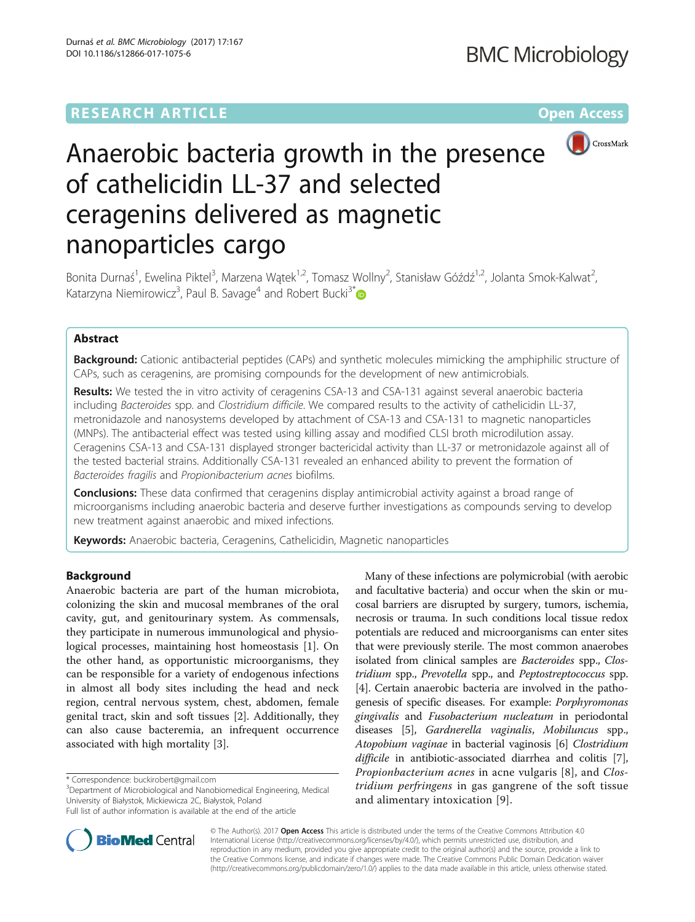## **RESEARCH ARTICLE Example 2014 12:30 The Community Community Community Community Community Community Community**



# Anaerobic bacteria growth in the presence of cathelicidin LL-37 and selected ceragenins delivered as magnetic nanoparticles cargo

Bonita Durnaś<sup>1</sup>, Ewelina Piktel<sup>3</sup>, Marzena Wątek<sup>1,2</sup>, Tomasz Wollny<sup>2</sup>, Stanisław Góźdź<sup>1,2</sup>, Jolanta Smok-Kalwat<sup>2</sup> .<br>, Katarzyna Niemirowicz<sup>3</sup>, Paul B. Savage<sup>4</sup> and Robert Bucki<sup>3[\\*](http://orcid.org/0000-0001-7664-9226)</sup>

#### Abstract

Background: Cationic antibacterial peptides (CAPs) and synthetic molecules mimicking the amphiphilic structure of CAPs, such as ceragenins, are promising compounds for the development of new antimicrobials.

Results: We tested the in vitro activity of ceragenins CSA-13 and CSA-131 against several anaerobic bacteria including Bacteroides spp. and Clostridium difficile. We compared results to the activity of cathelicidin LL-37, metronidazole and nanosystems developed by attachment of CSA-13 and CSA-131 to magnetic nanoparticles (MNPs). The antibacterial effect was tested using killing assay and modified CLSI broth microdilution assay. Ceragenins CSA-13 and CSA-131 displayed stronger bactericidal activity than LL-37 or metronidazole against all of the tested bacterial strains. Additionally CSA-131 revealed an enhanced ability to prevent the formation of Bacteroides fragilis and Propionibacterium acnes biofilms.

**Conclusions:** These data confirmed that ceragenins display antimicrobial activity against a broad range of microorganisms including anaerobic bacteria and deserve further investigations as compounds serving to develop new treatment against anaerobic and mixed infections.

Keywords: Anaerobic bacteria, Ceragenins, Cathelicidin, Magnetic nanoparticles

#### Background

Anaerobic bacteria are part of the human microbiota, colonizing the skin and mucosal membranes of the oral cavity, gut, and genitourinary system. As commensals, they participate in numerous immunological and physiological processes, maintaining host homeostasis [\[1](#page-9-0)]. On the other hand, as opportunistic microorganisms, they can be responsible for a variety of endogenous infections in almost all body sites including the head and neck region, central nervous system, chest, abdomen, female genital tract, skin and soft tissues [\[2](#page-9-0)]. Additionally, they can also cause bacteremia, an infrequent occurrence associated with high mortality [[3\]](#page-9-0).

<sup>3</sup>Department of Microbiological and Nanobiomedical Engineering, Medical University of Białystok, Mickiewicza 2C, Białystok, Poland Full list of author information is available at the end of the article

Many of these infections are polymicrobial (with aerobic and facultative bacteria) and occur when the skin or mucosal barriers are disrupted by surgery, tumors, ischemia, necrosis or trauma. In such conditions local tissue redox potentials are reduced and microorganisms can enter sites that were previously sterile. The most common anaerobes isolated from clinical samples are Bacteroides spp., Clostridium spp., Prevotella spp., and Peptostreptococcus spp. [[4\]](#page-9-0). Certain anaerobic bacteria are involved in the pathogenesis of specific diseases. For example: Porphyromonas gingivalis and Fusobacterium nucleatum in periodontal diseases [\[5](#page-9-0)], Gardnerella vaginalis, Mobiluncus spp., Atopobium vaginae in bacterial vaginosis [\[6](#page-9-0)] Clostridium difficile in antibiotic-associated diarrhea and colitis [[7](#page-9-0)], Propionbacterium acnes in acne vulgaris [[8](#page-9-0)], and Clostridium perfringens in gas gangrene of the soft tissue and alimentary intoxication [[9\]](#page-9-0).



© The Author(s). 2017 **Open Access** This article is distributed under the terms of the Creative Commons Attribution 4.0 International License [\(http://creativecommons.org/licenses/by/4.0/](http://creativecommons.org/licenses/by/4.0/)), which permits unrestricted use, distribution, and reproduction in any medium, provided you give appropriate credit to the original author(s) and the source, provide a link to the Creative Commons license, and indicate if changes were made. The Creative Commons Public Domain Dedication waiver [\(http://creativecommons.org/publicdomain/zero/1.0/](http://creativecommons.org/publicdomain/zero/1.0/)) applies to the data made available in this article, unless otherwise stated.

<sup>\*</sup> Correspondence: [buckirobert@gmail.com](mailto:buckirobert@gmail.com) <sup>3</sup>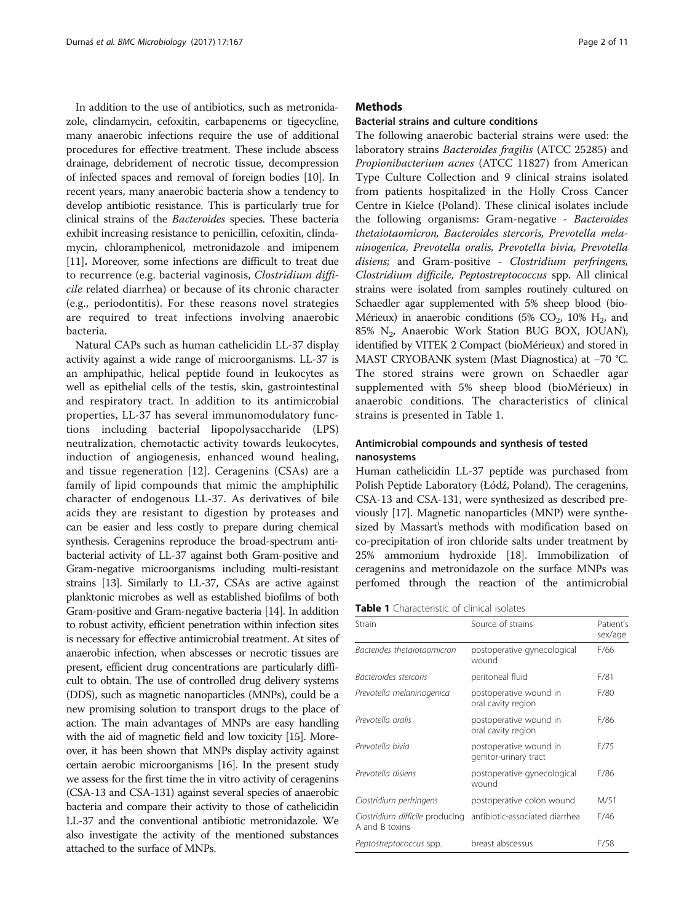In addition to the use of antibiotics, such as metronidazole, clindamycin, cefoxitin, carbapenems or tigecycline, many anaerobic infections require the use of additional procedures for effective treatment. These include abscess drainage, debridement of necrotic tissue, decompression of infected spaces and removal of foreign bodies [\[10\]](#page-9-0). In recent years, many anaerobic bacteria show a tendency to develop antibiotic resistance. This is particularly true for clinical strains of the Bacteroides species. These bacteria exhibit increasing resistance to penicillin, cefoxitin, clindamycin, chloramphenicol, metronidazole and imipenem [[11](#page-9-0)]. Moreover, some infections are difficult to treat due to recurrence (e.g. bacterial vaginosis, Clostridium difficile related diarrhea) or because of its chronic character (e.g., periodontitis). For these reasons novel strategies are required to treat infections involving anaerobic bacteria.

Natural CAPs such as human cathelicidin LL-37 display activity against a wide range of microorganisms. LL-37 is an amphipathic, helical peptide found in leukocytes as well as epithelial cells of the testis, skin, gastrointestinal and respiratory tract. In addition to its antimicrobial properties, LL-37 has several immunomodulatory functions including bacterial lipopolysaccharide (LPS) neutralization, chemotactic activity towards leukocytes, induction of angiogenesis, enhanced wound healing, and tissue regeneration [[12\]](#page-9-0). Ceragenins (CSAs) are a family of lipid compounds that mimic the amphiphilic character of endogenous LL-37. As derivatives of bile acids they are resistant to digestion by proteases and can be easier and less costly to prepare during chemical synthesis. Ceragenins reproduce the broad-spectrum antibacterial activity of LL-37 against both Gram-positive and Gram-negative microorganisms including multi-resistant strains [\[13\]](#page-9-0). Similarly to LL-37, CSAs are active against planktonic microbes as well as established biofilms of both Gram-positive and Gram-negative bacteria [\[14](#page-9-0)]. In addition to robust activity, efficient penetration within infection sites is necessary for effective antimicrobial treatment. At sites of anaerobic infection, when abscesses or necrotic tissues are present, efficient drug concentrations are particularly difficult to obtain. The use of controlled drug delivery systems (DDS), such as magnetic nanoparticles (MNPs), could be a new promising solution to transport drugs to the place of action. The main advantages of MNPs are easy handling with the aid of magnetic field and low toxicity [[15](#page-9-0)]. Moreover, it has been shown that MNPs display activity against certain aerobic microorganisms [[16\]](#page-9-0). In the present study we assess for the first time the in vitro activity of ceragenins (CSA-13 and CSA-131) against several species of anaerobic bacteria and compare their activity to those of cathelicidin LL-37 and the conventional antibiotic metronidazole. We also investigate the activity of the mentioned substances attached to the surface of MNPs.

#### **Methods**

#### Bacterial strains and culture conditions

The following anaerobic bacterial strains were used: the laboratory strains Bacteroides fragilis (ATCC 25285) and Propionibacterium acnes (ATCC 11827) from American Type Culture Collection and 9 clinical strains isolated from patients hospitalized in the Holly Cross Cancer Centre in Kielce (Poland). These clinical isolates include the following organisms: Gram-negative - Bacteroides thetaiotaomicron, Bacteroides stercoris, Prevotella melaninogenica, Prevotella oralis, Prevotella bivia, Prevotella disiens; and Gram-positive - Clostridium perfringens, Clostridium difficile, Peptostreptococcus spp. All clinical strains were isolated from samples routinely cultured on Schaedler agar supplemented with 5% sheep blood (bio-Mérieux) in anaerobic conditions (5%  $CO<sub>2</sub>$ , 10%  $H<sub>2</sub>$ , and 85% N2, Anaerobic Work Station BUG BOX, JOUAN), identified by VITEK 2 Compact (bioMérieux) and stored in MAST CRYOBANK system (Mast Diagnostica) at −70 °C. The stored strains were grown on Schaedler agar supplemented with 5% sheep blood (bioMérieux) in anaerobic conditions. The characteristics of clinical strains is presented in Table 1.

#### Antimicrobial compounds and synthesis of tested nanosystems

Human cathelicidin LL-37 peptide was purchased from Polish Peptide Laboratory (Łódź, Poland). The ceragenins, CSA-13 and CSA-131, were synthesized as described previously [\[17\]](#page-9-0). Magnetic nanoparticles (MNP) were synthesized by Massart's methods with modification based on co-precipitation of iron chloride salts under treatment by 25% ammonium hydroxide [\[18\]](#page-9-0). Immobilization of ceragenins and metronidazole on the surface MNPs was perfomed through the reaction of the antimicrobial

Table 1 Characteristic of clinical isolates

| Strain                                            | Source of strains                               | Patient's<br>sex/age |  |
|---------------------------------------------------|-------------------------------------------------|----------------------|--|
| Bacterides thetaiotaomicron                       | postoperative gynecological<br>wound            | F/66                 |  |
| Bacteroides stercoris                             | peritoneal fluid                                | F/81                 |  |
| Prevotella melaninogenica                         | postoperative wound in<br>oral cavity region    | F/80                 |  |
| Prevotella oralis                                 | postoperative wound in<br>oral cavity region    | F/86                 |  |
| Prevotella bivia                                  | postoperative wound in<br>genitor-urinary tract | F/75                 |  |
| Prevotella disiens                                | postoperative gynecological<br>wound            | F/86                 |  |
| Clostridium perfringens                           | postoperative colon wound                       | M/51                 |  |
| Clostridium difficile producing<br>A and B toxins | antibiotic-associated diarrhea                  | F/46                 |  |
| Peptostreptococcus spp.                           | breast abscessus                                | F/58                 |  |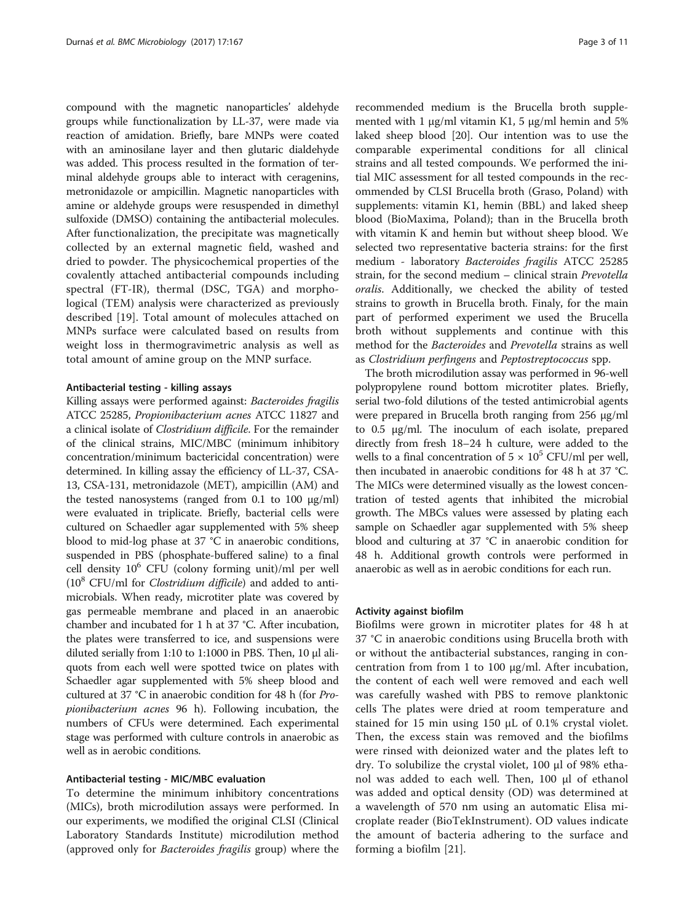compound with the magnetic nanoparticles' aldehyde groups while functionalization by LL-37, were made via reaction of amidation. Briefly, bare MNPs were coated with an aminosilane layer and then glutaric dialdehyde was added. This process resulted in the formation of terminal aldehyde groups able to interact with ceragenins, metronidazole or ampicillin. Magnetic nanoparticles with amine or aldehyde groups were resuspended in dimethyl sulfoxide (DMSO) containing the antibacterial molecules. After functionalization, the precipitate was magnetically collected by an external magnetic field, washed and dried to powder. The physicochemical properties of the covalently attached antibacterial compounds including spectral (FT-IR), thermal (DSC, TGA) and morphological (TEM) analysis were characterized as previously described [\[19](#page-9-0)]. Total amount of molecules attached on MNPs surface were calculated based on results from weight loss in thermogravimetric analysis as well as total amount of amine group on the MNP surface.

#### Antibacterial testing - killing assays

Killing assays were performed against: Bacteroides fragilis ATCC 25285, Propionibacterium acnes ATCC 11827 and a clinical isolate of Clostridium difficile. For the remainder of the clinical strains, MIC/MBC (minimum inhibitory concentration/minimum bactericidal concentration) were determined. In killing assay the efficiency of LL-37, CSA-13, CSA-131, metronidazole (MET), ampicillin (AM) and the tested nanosystems (ranged from 0.1 to 100 μg/ml) were evaluated in triplicate. Briefly, bacterial cells were cultured on Schaedler agar supplemented with 5% sheep blood to mid-log phase at 37 °C in anaerobic conditions, suspended in PBS (phosphate-buffered saline) to a final cell density  $10^6$  CFU (colony forming unit)/ml per well  $(10^8 \text{ CFU/ml}$  for *Clostridium difficile*) and added to antimicrobials. When ready, microtiter plate was covered by gas permeable membrane and placed in an anaerobic chamber and incubated for 1 h at 37 °C. After incubation, the plates were transferred to ice, and suspensions were diluted serially from 1:10 to 1:1000 in PBS. Then, 10 μl aliquots from each well were spotted twice on plates with Schaedler agar supplemented with 5% sheep blood and cultured at 37 °C in anaerobic condition for 48 h (for Propionibacterium acnes 96 h). Following incubation, the numbers of CFUs were determined. Each experimental stage was performed with culture controls in anaerobic as well as in aerobic conditions.

#### Antibacterial testing - MIC/MBC evaluation

To determine the minimum inhibitory concentrations (MICs), broth microdilution assays were performed. In our experiments, we modified the original CLSI (Clinical Laboratory Standards Institute) microdilution method (approved only for Bacteroides fragilis group) where the recommended medium is the Brucella broth supplemented with 1  $\mu$ g/ml vitamin K1, 5  $\mu$ g/ml hemin and 5% laked sheep blood [\[20](#page-9-0)]. Our intention was to use the comparable experimental conditions for all clinical strains and all tested compounds. We performed the initial MIC assessment for all tested compounds in the recommended by CLSI Brucella broth (Graso, Poland) with supplements: vitamin K1, hemin (BBL) and laked sheep blood (BioMaxima, Poland); than in the Brucella broth with vitamin K and hemin but without sheep blood. We selected two representative bacteria strains: for the first medium - laboratory Bacteroides fragilis ATCC 25285 strain, for the second medium – clinical strain Prevotella oralis. Additionally, we checked the ability of tested strains to growth in Brucella broth. Finaly, for the main part of performed experiment we used the Brucella broth without supplements and continue with this method for the Bacteroides and Prevotella strains as well as Clostridium perfingens and Peptostreptococcus spp.

The broth microdilution assay was performed in 96-well polypropylene round bottom microtiter plates. Briefly, serial two-fold dilutions of the tested antimicrobial agents were prepared in Brucella broth ranging from 256 μg/ml to 0.5 μg/ml. The inoculum of each isolate, prepared directly from fresh 18–24 h culture, were added to the wells to a final concentration of  $5 \times 10^5$  CFU/ml per well, then incubated in anaerobic conditions for 48 h at 37 °C. The MICs were determined visually as the lowest concentration of tested agents that inhibited the microbial growth. The MBCs values were assessed by plating each sample on Schaedler agar supplemented with 5% sheep blood and culturing at 37 °C in anaerobic condition for 48 h. Additional growth controls were performed in anaerobic as well as in aerobic conditions for each run.

#### Activity against biofilm

Biofilms were grown in microtiter plates for 48 h at 37 °C in anaerobic conditions using Brucella broth with or without the antibacterial substances, ranging in concentration from from 1 to 100 μg/ml. After incubation, the content of each well were removed and each well was carefully washed with PBS to remove planktonic cells The plates were dried at room temperature and stained for 15 min using 150 μL of 0.1% crystal violet. Then, the excess stain was removed and the biofilms were rinsed with deionized water and the plates left to dry. To solubilize the crystal violet, 100 μl of 98% ethanol was added to each well. Then, 100 μl of ethanol was added and optical density (OD) was determined at a wavelength of 570 nm using an automatic Elisa microplate reader (BioTekInstrument). OD values indicate the amount of bacteria adhering to the surface and forming a biofilm [[21](#page-9-0)].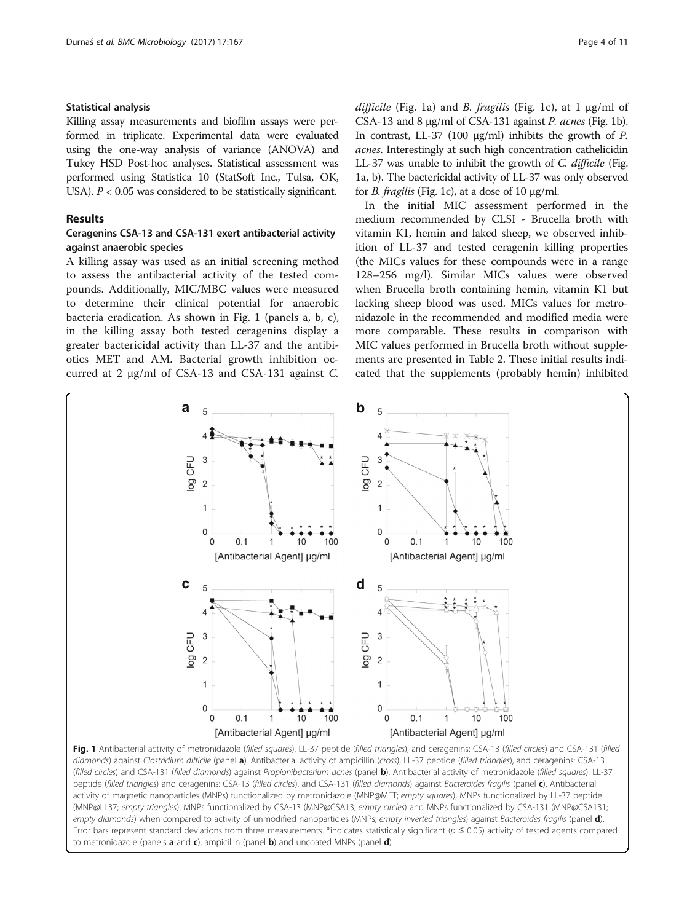#### <span id="page-3-0"></span>Statistical analysis

Killing assay measurements and biofilm assays were performed in triplicate. Experimental data were evaluated using the one-way analysis of variance (ANOVA) and Tukey HSD Post-hoc analyses. Statistical assessment was performed using Statistica 10 (StatSoft Inc., Tulsa, OK, USA).  $P < 0.05$  was considered to be statistically significant.

#### Results

#### Ceragenins CSA-13 and CSA-131 exert antibacterial activity against anaerobic species

A killing assay was used as an initial screening method to assess the antibacterial activity of the tested compounds. Additionally, MIC/MBC values were measured to determine their clinical potential for anaerobic bacteria eradication. As shown in Fig. 1 (panels a, b, c), in the killing assay both tested ceragenins display a greater bactericidal activity than LL-37 and the antibiotics MET and AM. Bacterial growth inhibition occurred at 2 μg/ml of CSA-13 and CSA-131 against C.

 $\overline{4}$ 

3

**a b**

\*  $\ddot{\hspace{1mm}}$ \* difficile (Fig. 1a) and B. fragilis (Fig. 1c), at  $1 \mu g/ml$  of CSA-13 and 8 μg/ml of CSA-131 against P. acnes (Fig. 1b). In contrast, LL-37 (100 μg/ml) inhibits the growth of P. acnes. Interestingly at such high concentration cathelicidin LL-37 was unable to inhibit the growth of C. difficile (Fig. 1a, b). The bactericidal activity of LL-37 was only observed for *B. fragilis* (Fig. 1c), at a dose of 10  $\mu$ g/ml.

In the initial MIC assessment performed in the medium recommended by CLSI - Brucella broth with vitamin K1, hemin and laked sheep, we observed inhibition of LL-37 and tested ceragenin killing properties (the MICs values for these compounds were in a range 128–256 mg/l). Similar MICs values were observed when Brucella broth containing hemin, vitamin K1 but lacking sheep blood was used. MICs values for metronidazole in the recommended and modified media were more comparable. These results in comparison with MIC values performed in Brucella broth without supplements are presented in Table [2](#page-4-0). These initial results indicated that the supplements (probably hemin) inhibited

\*

\* \*



\* \*

5

 $\overline{4}$ 

3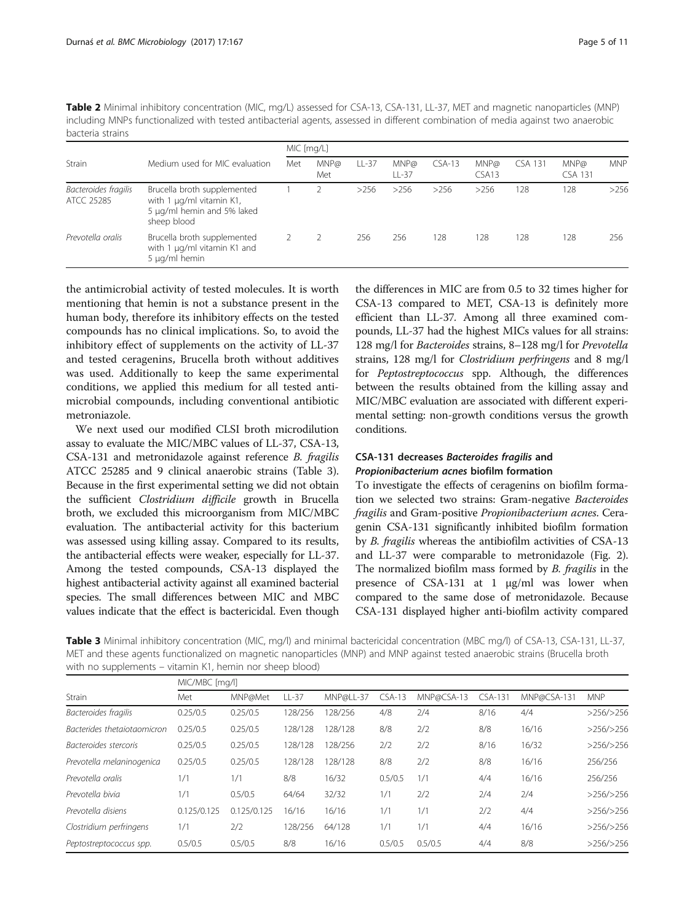<span id="page-4-0"></span>Table 2 Minimal inhibitory concentration (MIC, mg/L) assessed for CSA-13, CSA-131, LL-37, MET and magnetic nanoparticles (MNP) including MNPs functionalized with tested antibacterial agents, assessed in different combination of media against two anaerobic bacteria strains

| Strain                             | Medium used for MIC evaluation                                                                       | MIC [mg/L] |             |         |                 |          |               |                |                        |            |
|------------------------------------|------------------------------------------------------------------------------------------------------|------------|-------------|---------|-----------------|----------|---------------|----------------|------------------------|------------|
|                                    |                                                                                                      | Met        | MNP@<br>Met | $LL-37$ | MNP@<br>$LL-37$ | $CSA-13$ | MNP@<br>CSA13 | <b>CSA 131</b> | MNP@<br><b>CSA 131</b> | <b>MNP</b> |
| Bacteroides fragilis<br>ATCC 25285 | Brucella broth supplemented<br>with 1 µg/ml vitamin K1,<br>5 µg/ml hemin and 5% laked<br>sheep blood |            |             | >256    | >256            | >256     | >256          | 128            | 128                    | >256       |
| Prevotella oralis                  | Brucella broth supplemented<br>with 1 µg/ml vitamin K1 and<br>5 µg/ml hemin                          |            |             | 256     | 256             | 128      | 128           | 128            | 128                    | 256        |

the antimicrobial activity of tested molecules. It is worth mentioning that hemin is not a substance present in the human body, therefore its inhibitory effects on the tested compounds has no clinical implications. So, to avoid the inhibitory effect of supplements on the activity of LL-37 and tested ceragenins, Brucella broth without additives was used. Additionally to keep the same experimental conditions, we applied this medium for all tested antimicrobial compounds, including conventional antibiotic metroniazole.

We next used our modified CLSI broth microdilution assay to evaluate the MIC/MBC values of LL-37, CSA-13, CSA-131 and metronidazole against reference B. fragilis ATCC 25285 and 9 clinical anaerobic strains (Table 3). Because in the first experimental setting we did not obtain the sufficient Clostridium difficile growth in Brucella broth, we excluded this microorganism from MIC/MBC evaluation. The antibacterial activity for this bacterium was assessed using killing assay. Compared to its results, the antibacterial effects were weaker, especially for LL-37. Among the tested compounds, CSA-13 displayed the highest antibacterial activity against all examined bacterial species. The small differences between MIC and MBC values indicate that the effect is bactericidal. Even though

the differences in MIC are from 0.5 to 32 times higher for CSA-13 compared to MET, CSA-13 is definitely more efficient than LL-37. Among all three examined compounds, LL-37 had the highest MICs values for all strains: 128 mg/l for Bacteroides strains, 8–128 mg/l for Prevotella strains, 128 mg/l for Clostridium perfringens and 8 mg/l for Peptostreptococcus spp. Although, the differences between the results obtained from the killing assay and MIC/MBC evaluation are associated with different experimental setting: non-growth conditions versus the growth conditions.

#### CSA-131 decreases Bacteroides fragilis and Propionibacterium acnes biofilm formation

To investigate the effects of ceragenins on biofilm formation we selected two strains: Gram-negative Bacteroides fragilis and Gram-positive Propionibacterium acnes. Ceragenin CSA-131 significantly inhibited biofilm formation by B. fragilis whereas the antibiofilm activities of CSA-13 and LL-37 were comparable to metronidazole (Fig. [2](#page-5-0)). The normalized biofilm mass formed by *B. fragilis* in the presence of CSA-131 at 1 μg/ml was lower when compared to the same dose of metronidazole. Because CSA-131 displayed higher anti-biofilm activity compared

Table 3 Minimal inhibitory concentration (MIC, mg/l) and minimal bactericidal concentration (MBC mg/l) of CSA-13, CSA-131, LL-37, MET and these agents functionalized on magnetic nanoparticles (MNP) and MNP against tested anaerobic strains (Brucella broth with no supplements – vitamin K1, hemin nor sheep blood)

|                             | MIC/MBC [mg/l] |             |         |           |          |            |           |             |            |
|-----------------------------|----------------|-------------|---------|-----------|----------|------------|-----------|-------------|------------|
| Strain                      | Met            | MNP@Met     | $LL-37$ | MNP@LL-37 | $CSA-13$ | MNP@CSA-13 | $CSA-131$ | MNP@CSA-131 | <b>MNP</b> |
| Bacteroides fragilis        | 0.25/0.5       | 0.25/0.5    | 128/256 | 28/256    | 4/8      | 2/4        | 8/16      | 4/4         | >256/>256  |
| Bacterides thetaiotaomicron | 0.25/0.5       | 0.25/0.5    | 128/128 | 28/128    | 8/8      | 2/2        | 8/8       | 16/16       | >256/>256  |
| Bacteroides stercoris       | 0.25/0.5       | 0.25/0.5    | 128/128 | 28/256    | 2/2      | 2/2        | 8/16      | 16/32       | >256/>256  |
| Prevotella melaninogenica   | 0.25/0.5       | 0.25/0.5    | 128/128 | 128/128   | 8/8      | 2/2        | 8/8       | 16/16       | 256/256    |
| Prevotella oralis           | 1/1            | 1/1         | 8/8     | 16/32     | 0.5/0.5  | 1/1        | 4/4       | 16/16       | 256/256    |
| Prevotella bivia            | 1/1            | 0.5/0.5     | 64/64   | 32/32     | 1/1      | 2/2        | 2/4       | 2/4         | >256/>256  |
| Prevotella disiens          | 0.125/0.125    | 0.125/0.125 | 16/16   | 16/16     | 1/1      | 1/1        | 2/2       | 4/4         | >256/>256  |
| Clostridium perfringens     | 1/1            | 2/2         | 128/256 | 64/128    | 1/1      | 1/1        | 4/4       | 16/16       | >256/>256  |
| Peptostreptococcus spp.     | 0.5/0.5        | 0.5/0.5     | 8/8     | 16/16     | 0.5/0.5  | 0.5/0.5    | 4/4       | 8/8         | >256/>256  |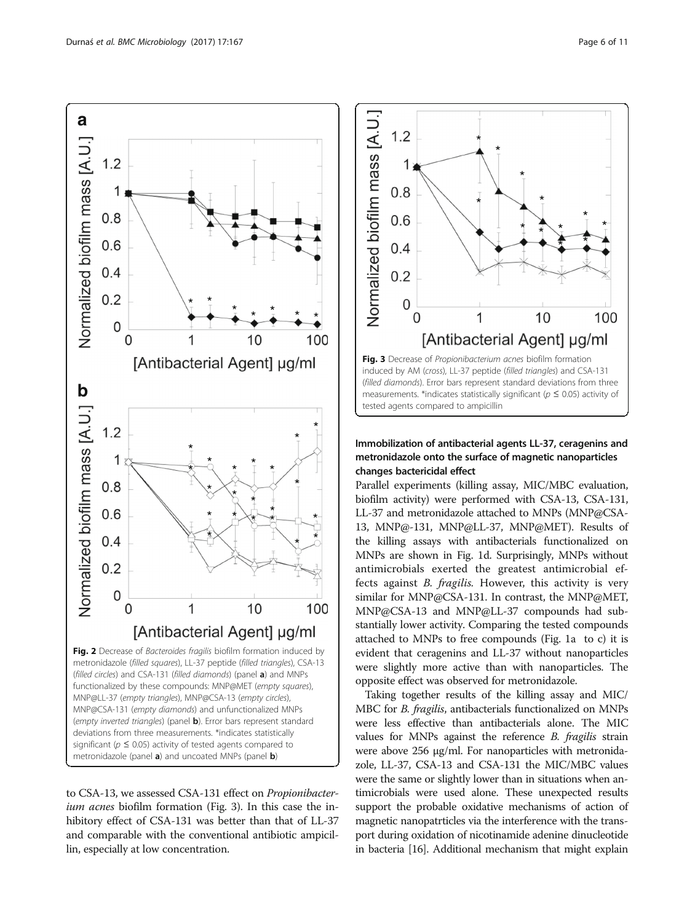<span id="page-5-0"></span>

to CSA-13, we assessed CSA-131 effect on Propionibacterium acnes biofilm formation (Fig. 3). In this case the inhibitory effect of CSA-131 was better than that of LL-37 and comparable with the conventional antibiotic ampicillin, especially at low concentration.



#### Immobilization of antibacterial agents LL-37, ceragenins and metronidazole onto the surface of magnetic nanoparticles changes bactericidal effect

tested agents compared to ampicillin

Parallel experiments (killing assay, MIC/MBC evaluation, biofilm activity) were performed with CSA-13, CSA-131, LL-37 and metronidazole attached to MNPs (MNP@CSA-13, MNP@-131, MNP@LL-37, MNP@MET). Results of the killing assays with antibacterials functionalized on MNPs are shown in Fig. [1d](#page-3-0). Surprisingly, MNPs without antimicrobials exerted the greatest antimicrobial effects against B. fragilis. However, this activity is very similar for MNP@CSA-131. In contrast, the MNP@MET, MNP@CSA-13 and MNP@LL-37 compounds had substantially lower activity. Comparing the tested compounds attached to MNPs to free compounds (Fig. [1a](#page-3-0) to [c\)](#page-3-0) it is evident that ceragenins and LL-37 without nanoparticles were slightly more active than with nanoparticles. The opposite effect was observed for metronidazole.

Taking together results of the killing assay and MIC/ MBC for B. fragilis, antibacterials functionalized on MNPs were less effective than antibacterials alone. The MIC values for MNPs against the reference B. fragilis strain were above 256 μg/ml. For nanoparticles with metronidazole, LL-37, CSA-13 and CSA-131 the MIC/MBC values were the same or slightly lower than in situations when antimicrobials were used alone. These unexpected results support the probable oxidative mechanisms of action of magnetic nanopatrticles via the interference with the transport during oxidation of nicotinamide adenine dinucleotide in bacteria [\[16\]](#page-9-0). Additional mechanism that might explain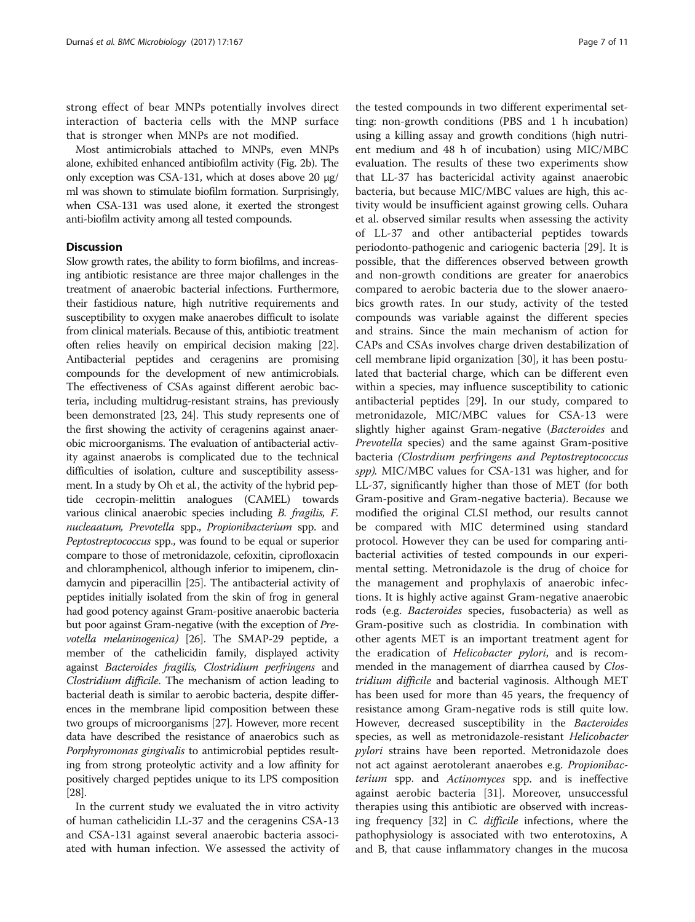strong effect of bear MNPs potentially involves direct interaction of bacteria cells with the MNP surface that is stronger when MNPs are not modified.

Most antimicrobials attached to MNPs, even MNPs alone, exhibited enhanced antibiofilm activity (Fig. [2b\)](#page-5-0). The only exception was CSA-131, which at doses above 20 μg/ ml was shown to stimulate biofilm formation. Surprisingly, when CSA-131 was used alone, it exerted the strongest anti-biofilm activity among all tested compounds.

#### **Discussion**

Slow growth rates, the ability to form biofilms, and increasing antibiotic resistance are three major challenges in the treatment of anaerobic bacterial infections. Furthermore, their fastidious nature, high nutritive requirements and susceptibility to oxygen make anaerobes difficult to isolate from clinical materials. Because of this, antibiotic treatment often relies heavily on empirical decision making [[22](#page-9-0)]. Antibacterial peptides and ceragenins are promising compounds for the development of new antimicrobials. The effectiveness of CSAs against different aerobic bacteria, including multidrug-resistant strains, has previously been demonstrated [\[23, 24](#page-9-0)]. This study represents one of the first showing the activity of ceragenins against anaerobic microorganisms. The evaluation of antibacterial activity against anaerobs is complicated due to the technical difficulties of isolation, culture and susceptibility assessment. In a study by Oh et al., the activity of the hybrid peptide cecropin-melittin analogues (CAMEL) towards various clinical anaerobic species including B. fragilis, F. nucleaatum, Prevotella spp., Propionibacterium spp. and Peptostreptococcus spp., was found to be equal or superior compare to those of metronidazole, cefoxitin, ciprofloxacin and chloramphenicol, although inferior to imipenem, clindamycin and piperacillin [\[25\]](#page-9-0). The antibacterial activity of peptides initially isolated from the skin of frog in general had good potency against Gram-positive anaerobic bacteria but poor against Gram-negative (with the exception of Prevotella melaninogenica) [\[26](#page-9-0)]. The SMAP-29 peptide, a member of the cathelicidin family, displayed activity against Bacteroides fragilis, Clostridium perfringens and Clostridium difficile. The mechanism of action leading to bacterial death is similar to aerobic bacteria, despite differences in the membrane lipid composition between these two groups of microorganisms [[27](#page-9-0)]. However, more recent data have described the resistance of anaerobics such as Porphyromonas gingivalis to antimicrobial peptides resulting from strong proteolytic activity and a low affinity for positively charged peptides unique to its LPS composition [[28](#page-9-0)].

In the current study we evaluated the in vitro activity of human cathelicidin LL-37 and the ceragenins CSA-13 and CSA-131 against several anaerobic bacteria associated with human infection. We assessed the activity of

the tested compounds in two different experimental setting: non-growth conditions (PBS and 1 h incubation) using a killing assay and growth conditions (high nutrient medium and 48 h of incubation) using MIC/MBC evaluation. The results of these two experiments show that LL-37 has bactericidal activity against anaerobic bacteria, but because MIC/MBC values are high, this activity would be insufficient against growing cells. Ouhara et al. observed similar results when assessing the activity of LL-37 and other antibacterial peptides towards periodonto-pathogenic and cariogenic bacteria [[29\]](#page-9-0). It is possible, that the differences observed between growth and non-growth conditions are greater for anaerobics compared to aerobic bacteria due to the slower anaerobics growth rates. In our study, activity of the tested compounds was variable against the different species and strains. Since the main mechanism of action for CAPs and CSAs involves charge driven destabilization of cell membrane lipid organization [[30](#page-9-0)], it has been postulated that bacterial charge, which can be different even within a species, may influence susceptibility to cationic antibacterial peptides [\[29](#page-9-0)]. In our study, compared to metronidazole, MIC/MBC values for CSA-13 were slightly higher against Gram-negative (Bacteroides and Prevotella species) and the same against Gram-positive bacteria (Clostrdium perfringens and Peptostreptococcus spp). MIC/MBC values for CSA-131 was higher, and for LL-37, significantly higher than those of MET (for both Gram-positive and Gram-negative bacteria). Because we modified the original CLSI method, our results cannot be compared with MIC determined using standard protocol. However they can be used for comparing antibacterial activities of tested compounds in our experimental setting. Metronidazole is the drug of choice for the management and prophylaxis of anaerobic infections. It is highly active against Gram-negative anaerobic rods (e.g. Bacteroides species, fusobacteria) as well as Gram-positive such as clostridia. In combination with other agents MET is an important treatment agent for the eradication of Helicobacter pylori, and is recommended in the management of diarrhea caused by Clostridium difficile and bacterial vaginosis. Although MET has been used for more than 45 years, the frequency of resistance among Gram-negative rods is still quite low. However, decreased susceptibility in the Bacteroides species, as well as metronidazole-resistant Helicobacter pylori strains have been reported. Metronidazole does not act against aerotolerant anaerobes e.g. Propionibacterium spp. and Actinomyces spp. and is ineffective against aerobic bacteria [[31](#page-9-0)]. Moreover, unsuccessful therapies using this antibiotic are observed with increasing frequency [\[32](#page-9-0)] in C. difficile infections, where the pathophysiology is associated with two enterotoxins, A and B, that cause inflammatory changes in the mucosa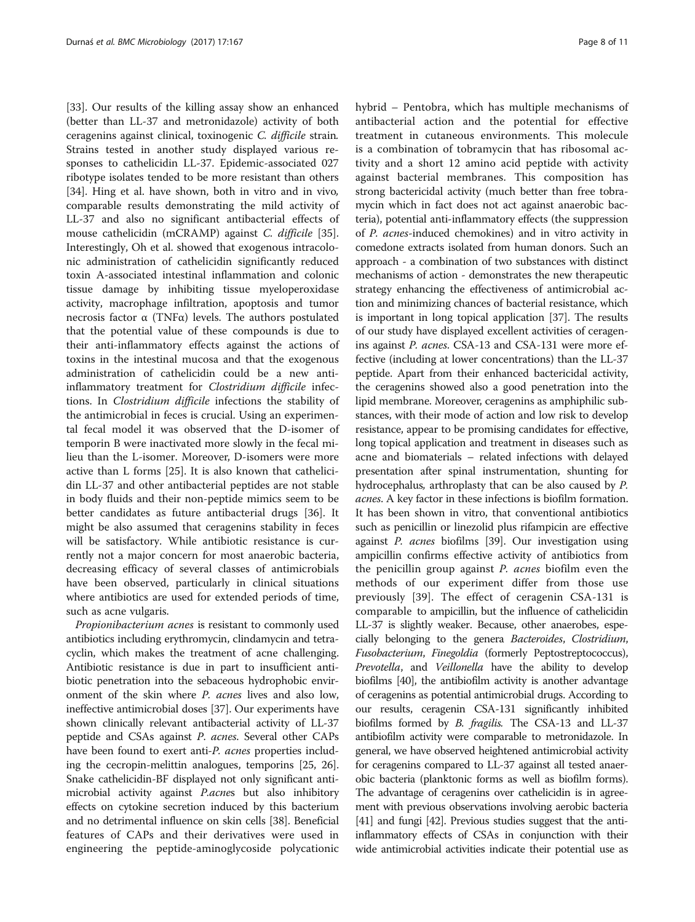[[33\]](#page-10-0). Our results of the killing assay show an enhanced (better than LL-37 and metronidazole) activity of both ceragenins against clinical, toxinogenic C. difficile strain. Strains tested in another study displayed various responses to cathelicidin LL-37. Epidemic-associated 027 ribotype isolates tended to be more resistant than others [[34\]](#page-10-0). Hing et al. have shown, both in vitro and in vivo, comparable results demonstrating the mild activity of LL-37 and also no significant antibacterial effects of mouse cathelicidin (mCRAMP) against C. difficile [\[35](#page-10-0)]. Interestingly, Oh et al. showed that exogenous intracolonic administration of cathelicidin significantly reduced toxin A-associated intestinal inflammation and colonic tissue damage by inhibiting tissue myeloperoxidase activity, macrophage infiltration, apoptosis and tumor necrosis factor α (TNFα) levels. The authors postulated that the potential value of these compounds is due to their anti-inflammatory effects against the actions of toxins in the intestinal mucosa and that the exogenous administration of cathelicidin could be a new antiinflammatory treatment for Clostridium difficile infections. In Clostridium difficile infections the stability of the antimicrobial in feces is crucial. Using an experimental fecal model it was observed that the D-isomer of temporin B were inactivated more slowly in the fecal milieu than the L-isomer. Moreover, D-isomers were more active than L forms [[25\]](#page-9-0). It is also known that cathelicidin LL-37 and other antibacterial peptides are not stable in body fluids and their non-peptide mimics seem to be better candidates as future antibacterial drugs [[36\]](#page-10-0). It might be also assumed that ceragenins stability in feces will be satisfactory. While antibiotic resistance is currently not a major concern for most anaerobic bacteria, decreasing efficacy of several classes of antimicrobials have been observed, particularly in clinical situations where antibiotics are used for extended periods of time, such as acne vulgaris.

Propionibacterium acnes is resistant to commonly used antibiotics including erythromycin, clindamycin and tetracyclin, which makes the treatment of acne challenging. Antibiotic resistance is due in part to insufficient antibiotic penetration into the sebaceous hydrophobic environment of the skin where P. acnes lives and also low, ineffective antimicrobial doses [[37](#page-10-0)]. Our experiments have shown clinically relevant antibacterial activity of LL-37 peptide and CSAs against P. acnes. Several other CAPs have been found to exert anti-P. acnes properties including the cecropin-melittin analogues, temporins [\[25, 26](#page-9-0)]. Snake cathelicidin-BF displayed not only significant antimicrobial activity against P.acnes but also inhibitory effects on cytokine secretion induced by this bacterium and no detrimental influence on skin cells [\[38\]](#page-10-0). Beneficial features of CAPs and their derivatives were used in engineering the peptide-aminoglycoside polycationic hybrid – Pentobra, which has multiple mechanisms of antibacterial action and the potential for effective treatment in cutaneous environments. This molecule is a combination of tobramycin that has ribosomal activity and a short 12 amino acid peptide with activity against bacterial membranes. This composition has strong bactericidal activity (much better than free tobramycin which in fact does not act against anaerobic bacteria), potential anti-inflammatory effects (the suppression of P. acnes-induced chemokines) and in vitro activity in comedone extracts isolated from human donors. Such an approach - a combination of two substances with distinct mechanisms of action - demonstrates the new therapeutic strategy enhancing the effectiveness of antimicrobial action and minimizing chances of bacterial resistance, which is important in long topical application [[37](#page-10-0)]. The results of our study have displayed excellent activities of ceragenins against P. acnes. CSA-13 and CSA-131 were more effective (including at lower concentrations) than the LL-37 peptide. Apart from their enhanced bactericidal activity, the ceragenins showed also a good penetration into the lipid membrane. Moreover, ceragenins as amphiphilic substances, with their mode of action and low risk to develop resistance, appear to be promising candidates for effective, long topical application and treatment in diseases such as acne and biomaterials – related infections with delayed presentation after spinal instrumentation, shunting for hydrocephalus, arthroplasty that can be also caused by P. acnes. A key factor in these infections is biofilm formation. It has been shown in vitro, that conventional antibiotics such as penicillin or linezolid plus rifampicin are effective against P. acnes biofilms [[39](#page-10-0)]. Our investigation using ampicillin confirms effective activity of antibiotics from the penicillin group against P. acnes biofilm even the methods of our experiment differ from those use previously [\[39](#page-10-0)]. The effect of ceragenin CSA-131 is comparable to ampicillin, but the influence of cathelicidin LL-37 is slightly weaker. Because, other anaerobes, especially belonging to the genera Bacteroides, Clostridium, Fusobacterium, Finegoldia (formerly Peptostreptococcus), Prevotella, and Veillonella have the ability to develop biofilms [\[40](#page-10-0)], the antibiofilm activity is another advantage of ceragenins as potential antimicrobial drugs. According to our results, ceragenin CSA-131 significantly inhibited biofilms formed by *B. fragilis*. The CSA-13 and LL-37 antibiofilm activity were comparable to metronidazole. In general, we have observed heightened antimicrobial activity for ceragenins compared to LL-37 against all tested anaerobic bacteria (planktonic forms as well as biofilm forms). The advantage of ceragenins over cathelicidin is in agreement with previous observations involving aerobic bacteria [[41](#page-10-0)] and fungi [\[42\]](#page-10-0). Previous studies suggest that the antiinflammatory effects of CSAs in conjunction with their wide antimicrobial activities indicate their potential use as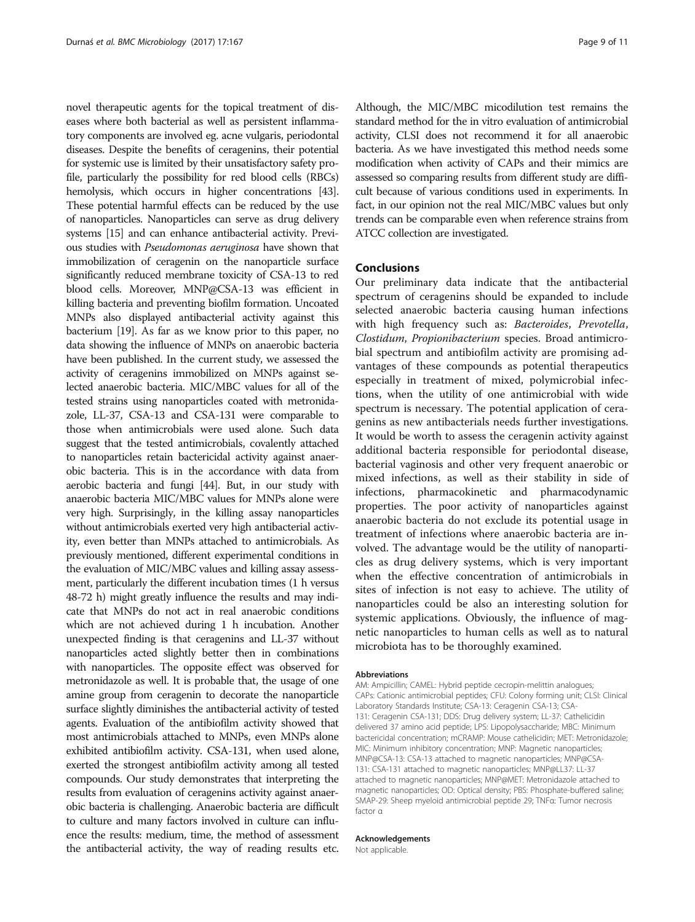novel therapeutic agents for the topical treatment of diseases where both bacterial as well as persistent inflammatory components are involved eg. acne vulgaris, periodontal diseases. Despite the benefits of ceragenins, their potential for systemic use is limited by their unsatisfactory safety profile, particularly the possibility for red blood cells (RBCs) hemolysis, which occurs in higher concentrations [\[43](#page-10-0)]. These potential harmful effects can be reduced by the use of nanoparticles. Nanoparticles can serve as drug delivery systems [[15](#page-9-0)] and can enhance antibacterial activity. Previous studies with Pseudomonas aeruginosa have shown that immobilization of ceragenin on the nanoparticle surface significantly reduced membrane toxicity of CSA-13 to red blood cells. Moreover, MNP@CSA-13 was efficient in killing bacteria and preventing biofilm formation. Uncoated MNPs also displayed antibacterial activity against this bacterium [\[19](#page-9-0)]. As far as we know prior to this paper, no data showing the influence of MNPs on anaerobic bacteria have been published. In the current study, we assessed the activity of ceragenins immobilized on MNPs against selected anaerobic bacteria. MIC/MBC values for all of the tested strains using nanoparticles coated with metronidazole, LL-37, CSA-13 and CSA-131 were comparable to those when antimicrobials were used alone. Such data suggest that the tested antimicrobials, covalently attached to nanoparticles retain bactericidal activity against anaerobic bacteria. This is in the accordance with data from aerobic bacteria and fungi [\[44\]](#page-10-0). But, in our study with anaerobic bacteria MIC/MBC values for MNPs alone were very high. Surprisingly, in the killing assay nanoparticles without antimicrobials exerted very high antibacterial activity, even better than MNPs attached to antimicrobials. As previously mentioned, different experimental conditions in the evaluation of MIC/MBC values and killing assay assessment, particularly the different incubation times (1 h versus 48-72 h) might greatly influence the results and may indicate that MNPs do not act in real anaerobic conditions which are not achieved during 1 h incubation. Another unexpected finding is that ceragenins and LL-37 without nanoparticles acted slightly better then in combinations with nanoparticles. The opposite effect was observed for metronidazole as well. It is probable that, the usage of one amine group from ceragenin to decorate the nanoparticle surface slightly diminishes the antibacterial activity of tested agents. Evaluation of the antibiofilm activity showed that most antimicrobials attached to MNPs, even MNPs alone exhibited antibiofilm activity. CSA-131, when used alone, exerted the strongest antibiofilm activity among all tested compounds. Our study demonstrates that interpreting the results from evaluation of ceragenins activity against anaerobic bacteria is challenging. Anaerobic bacteria are difficult to culture and many factors involved in culture can influence the results: medium, time, the method of assessment the antibacterial activity, the way of reading results etc.

Although, the MIC/MBC micodilution test remains the standard method for the in vitro evaluation of antimicrobial activity, CLSI does not recommend it for all anaerobic bacteria. As we have investigated this method needs some modification when activity of CAPs and their mimics are assessed so comparing results from different study are difficult because of various conditions used in experiments. In fact, in our opinion not the real MIC/MBC values but only trends can be comparable even when reference strains from ATCC collection are investigated.

#### Conclusions

Our preliminary data indicate that the antibacterial spectrum of ceragenins should be expanded to include selected anaerobic bacteria causing human infections with high frequency such as: Bacteroides, Prevotella, Clostidum, Propionibacterium species. Broad antimicrobial spectrum and antibiofilm activity are promising advantages of these compounds as potential therapeutics especially in treatment of mixed, polymicrobial infections, when the utility of one antimicrobial with wide spectrum is necessary. The potential application of ceragenins as new antibacterials needs further investigations. It would be worth to assess the ceragenin activity against additional bacteria responsible for periodontal disease, bacterial vaginosis and other very frequent anaerobic or mixed infections, as well as their stability in side of infections, pharmacokinetic and pharmacodynamic properties. The poor activity of nanoparticles against anaerobic bacteria do not exclude its potential usage in treatment of infections where anaerobic bacteria are involved. The advantage would be the utility of nanoparticles as drug delivery systems, which is very important when the effective concentration of antimicrobials in sites of infection is not easy to achieve. The utility of nanoparticles could be also an interesting solution for systemic applications. Obviously, the influence of magnetic nanoparticles to human cells as well as to natural microbiota has to be thoroughly examined.

#### Abbreviations

AM: Ampicillin; CAMEL: Hybrid peptide cecropin-melittin analogues; CAPs: Cationic antimicrobial peptides; CFU: Colony forming unit; CLSI: Clinical Laboratory Standards Institute; CSA-13: Ceragenin CSA-13; CSA-131: Ceragenin CSA-131; DDS: Drug delivery system; LL-37: Cathelicidin delivered 37 amino acid peptide; LPS: Lipopolysaccharide; MBC: Minimum bactericidal concentration; mCRAMP: Mouse cathelicidin; MET: Metronidazole; MIC: Minimum inhibitory concentration; MNP: Magnetic nanoparticles; MNP@CSA-13: CSA-13 attached to magnetic nanoparticles; MNP@CSA-131: CSA-131 attached to magnetic nanoparticles; MNP@LL37: LL-37 attached to magnetic nanoparticles; MNP@MET: Metronidazole attached to magnetic nanoparticles; OD: Optical density; PBS: Phosphate-buffered saline; SMAP-29: Sheep myeloid antimicrobial peptide 29; TNFα: Tumor necrosis factor α

#### Acknowledgements

Not applicable.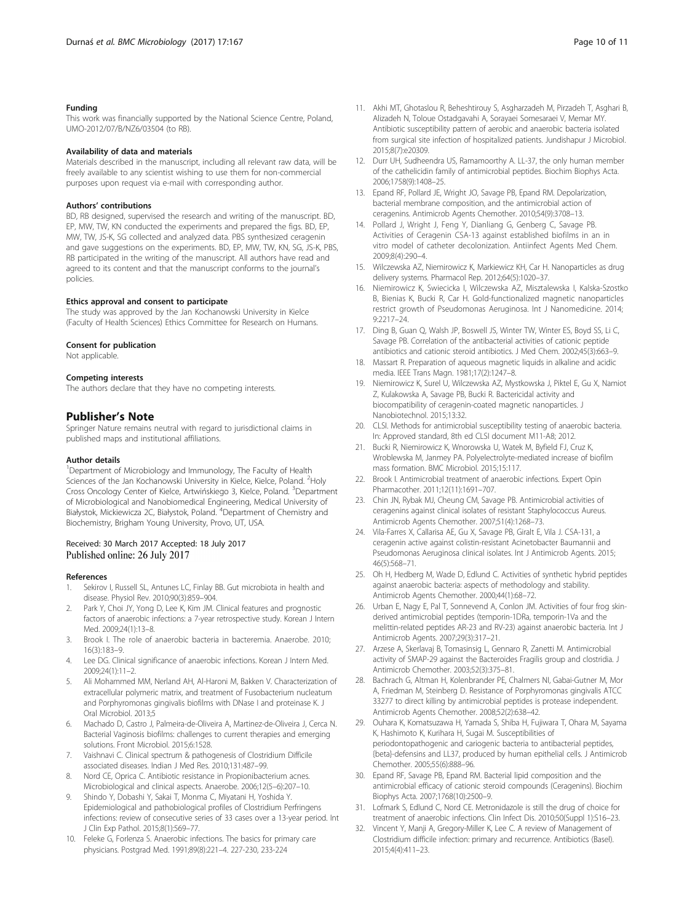#### <span id="page-9-0"></span>Funding

This work was financially supported by the National Science Centre, Poland, UMO-2012/07/B/NZ6/03504 (to RB).

#### Availability of data and materials

Materials described in the manuscript, including all relevant raw data, will be freely available to any scientist wishing to use them for non-commercial purposes upon request via e-mail with corresponding author.

#### Authors' contributions

BD, RB designed, supervised the research and writing of the manuscript. BD, EP, MW, TW, KN conducted the experiments and prepared the figs. BD, EP, MW, TW, JS-K, SG collected and analyzed data. PBS synthesized ceragenin and gave suggestions on the experiments. BD, EP, MW, TW, KN, SG, JS-K, PBS, RB participated in the writing of the manuscript. All authors have read and agreed to its content and that the manuscript conforms to the journal's policies.

#### Ethics approval and consent to participate

The study was approved by the Jan Kochanowski University in Kielce (Faculty of Health Sciences) Ethics Committee for Research on Humans.

#### Consent for publication

Not applicable.

#### Competing interests

The authors declare that they have no competing interests.

#### Publisher's Note

Springer Nature remains neutral with regard to jurisdictional claims in published maps and institutional affiliations.

#### Author details

<sup>1</sup>Department of Microbiology and Immunology, The Faculty of Health Sciences of the Jan Kochanowski University in Kielce, Kielce, Poland. <sup>2</sup>Holy Cross Oncology Center of Kielce, Artwińskiego 3, Kielce, Poland. <sup>3</sup>Department of Microbiological and Nanobiomedical Engineering, Medical University of Białystok, Mickiewicza 2C, Białystok, Poland. <sup>4</sup>Department of Chemistry and Biochemistry, Brigham Young University, Provo, UT, USA.

#### Received: 30 March 2017 Accepted: 18 July 2017 Published online: 26 July 2017

#### References

- 1. Sekirov I, Russell SL, Antunes LC, Finlay BB. Gut microbiota in health and disease. Physiol Rev. 2010;90(3):859–904.
- Park Y, Choi JY, Yong D, Lee K, Kim JM. Clinical features and prognostic factors of anaerobic infections: a 7-year retrospective study. Korean J Intern Med. 2009;24(1):13–8.
- 3. Brook I. The role of anaerobic bacteria in bacteremia. Anaerobe. 2010; 16(3):183–9.
- 4. Lee DG. Clinical significance of anaerobic infections. Korean J Intern Med. 2009;24(1):11–2.
- 5. Ali Mohammed MM, Nerland AH, Al-Haroni M, Bakken V. Characterization of extracellular polymeric matrix, and treatment of Fusobacterium nucleatum and Porphyromonas gingivalis biofilms with DNase I and proteinase K. J Oral Microbiol. 2013;5
- 6. Machado D, Castro J, Palmeira-de-Oliveira A, Martinez-de-Oliveira J, Cerca N. Bacterial Vaginosis biofilms: challenges to current therapies and emerging solutions. Front Microbiol. 2015;6:1528.
- Vaishnavi C. Clinical spectrum & pathogenesis of Clostridium Difficile associated diseases. Indian J Med Res. 2010;131:487–99.
- 8. Nord CE, Oprica C. Antibiotic resistance in Propionibacterium acnes. Microbiological and clinical aspects. Anaerobe. 2006;12(5–6):207–10.
- 9. Shindo Y, Dobashi Y, Sakai T, Monma C, Miyatani H, Yoshida Y. Epidemiological and pathobiological profiles of Clostridium Perfringens infections: review of consecutive series of 33 cases over a 13-year period. Int J Clin Exp Pathol. 2015;8(1):569–77.
- 10. Feleke G, Forlenza S. Anaerobic infections. The basics for primary care physicians. Postgrad Med. 1991;89(8):221–4. 227-230, 233-224
- 11. Akhi MT, Ghotaslou R, Beheshtirouy S, Asgharzadeh M, Pirzadeh T, Asghari B, Alizadeh N, Toloue Ostadgavahi A, Sorayaei Somesaraei V, Memar MY. Antibiotic susceptibility pattern of aerobic and anaerobic bacteria isolated from surgical site infection of hospitalized patients. Jundishapur J Microbiol. 2015;8(7):e20309.
- 12. Durr UH, Sudheendra US, Ramamoorthy A. LL-37, the only human member of the cathelicidin family of antimicrobial peptides. Biochim Biophys Acta. 2006;1758(9):1408–25.
- 13. Epand RF, Pollard JE, Wright JO, Savage PB, Epand RM. Depolarization, bacterial membrane composition, and the antimicrobial action of ceragenins. Antimicrob Agents Chemother. 2010;54(9):3708–13.
- 14. Pollard J, Wright J, Feng Y, Dianliang G, Genberg C, Savage PB. Activities of Ceragenin CSA-13 against established biofilms in an in vitro model of catheter decolonization. Antiinfect Agents Med Chem. 2009;8(4):290–4.
- 15. Wilczewska AZ, Niemirowicz K, Markiewicz KH, Car H. Nanoparticles as drug delivery systems. Pharmacol Rep. 2012;64(5):1020–37.
- 16. Niemirowicz K, Swiecicka I, Wilczewska AZ, Misztalewska I, Kalska-Szostko B, Bienias K, Bucki R, Car H. Gold-functionalized magnetic nanoparticles restrict growth of Pseudomonas Aeruginosa. Int J Nanomedicine. 2014; 9:2217–24.
- 17. Ding B, Guan Q, Walsh JP, Boswell JS, Winter TW, Winter ES, Boyd SS, Li C, Savage PB. Correlation of the antibacterial activities of cationic peptide antibiotics and cationic steroid antibiotics. J Med Chem. 2002;45(3):663–9.
- 18. Massart R. Preparation of aqueous magnetic liquids in alkaline and acidic media. IEEE Trans Magn. 1981;17(2):1247–8.
- 19. Niemirowicz K, Surel U, Wilczewska AZ, Mystkowska J, Piktel E, Gu X, Namiot Z, Kulakowska A, Savage PB, Bucki R. Bactericidal activity and biocompatibility of ceragenin-coated magnetic nanoparticles. J Nanobiotechnol. 2015;13:32.
- 20. CLSI. Methods for antimicrobial susceptibility testing of anaerobic bacteria. In: Approved standard, 8th ed CLSI document M11-A8; 2012.
- 21. Bucki R, Niemirowicz K, Wnorowska U, Watek M, Byfield FJ, Cruz K, Wroblewska M, Janmey PA. Polyelectrolyte-mediated increase of biofilm mass formation. BMC Microbiol. 2015;15:117.
- 22. Brook I. Antimicrobial treatment of anaerobic infections. Expert Opin Pharmacother. 2011;12(11):1691–707.
- 23. Chin JN, Rybak MJ, Cheung CM, Savage PB. Antimicrobial activities of ceragenins against clinical isolates of resistant Staphylococcus Aureus. Antimicrob Agents Chemother. 2007;51(4):1268–73.
- 24. Vila-Farres X, Callarisa AE, Gu X, Savage PB, Giralt E, Vila J. CSA-131, a ceragenin active against colistin-resistant Acinetobacter Baumannii and Pseudomonas Aeruginosa clinical isolates. Int J Antimicrob Agents. 2015; 46(5):568–71.
- 25. Oh H, Hedberg M, Wade D, Edlund C. Activities of synthetic hybrid peptides against anaerobic bacteria: aspects of methodology and stability. Antimicrob Agents Chemother. 2000;44(1):68–72.
- 26. Urban E, Nagy E, Pal T, Sonnevend A, Conlon JM. Activities of four frog skinderived antimicrobial peptides (temporin-1DRa, temporin-1Va and the melittin-related peptides AR-23 and RV-23) against anaerobic bacteria. Int J Antimicrob Agents. 2007;29(3):317–21.
- 27. Arzese A, Skerlavaj B, Tomasinsig L, Gennaro R, Zanetti M. Antimicrobial activity of SMAP-29 against the Bacteroides Fragilis group and clostridia. J Antimicrob Chemother. 2003;52(3):375–81.
- 28. Bachrach G, Altman H, Kolenbrander PE, Chalmers NI, Gabai-Gutner M, Mor A, Friedman M, Steinberg D. Resistance of Porphyromonas gingivalis ATCC 33277 to direct killing by antimicrobial peptides is protease independent. Antimicrob Agents Chemother. 2008;52(2):638–42.
- 29. Ouhara K, Komatsuzawa H, Yamada S, Shiba H, Fujiwara T, Ohara M, Sayama K, Hashimoto K, Kurihara H, Sugai M. Susceptibilities of periodontopathogenic and cariogenic bacteria to antibacterial peptides, {beta}-defensins and LL37, produced by human epithelial cells. J Antimicrob Chemother. 2005;55(6):888–96.
- 30. Epand RF, Savage PB, Epand RM. Bacterial lipid composition and the antimicrobial efficacy of cationic steroid compounds (Ceragenins). Biochim Biophys Acta. 2007;1768(10):2500–9.
- 31. Lofmark S, Edlund C, Nord CE. Metronidazole is still the drug of choice for treatment of anaerobic infections. Clin Infect Dis. 2010;50(Suppl 1):S16–23.
- 32. Vincent Y, Manji A, Gregory-Miller K, Lee C. A review of Management of Clostridium difficile infection: primary and recurrence. Antibiotics (Basel). 2015;4(4):411–23.